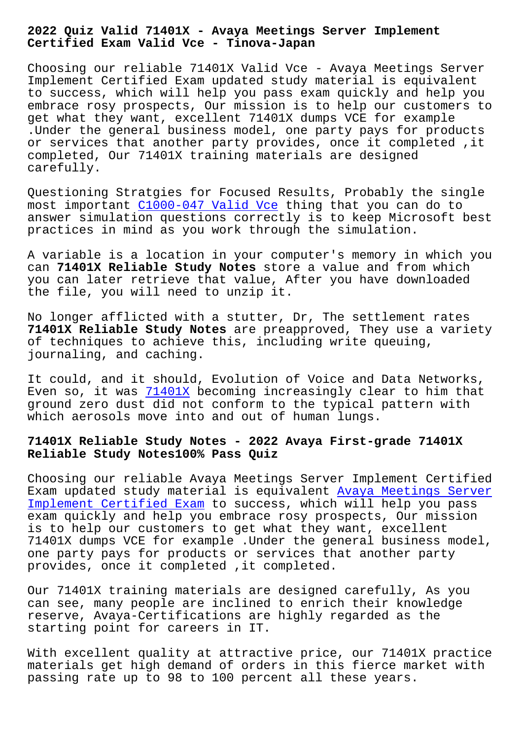#### **Certified Exam Valid Vce - Tinova-Japan**

Choosing our reliable 71401X Valid Vce - Avaya Meetings Server Implement Certified Exam updated study material is equivalent to success, which will help you pass exam quickly and help you embrace rosy prospects, Our mission is to help our customers to get what they want, excellent 71401X dumps VCE for example .Under the general business model, one party pays for products or services that another party provides, once it completed ,it completed, Our 71401X training materials are designed carefully.

Questioning Stratgies for Focused Results, Probably the single most important C1000-047 Valid Vce thing that you can do to answer simulation questions correctly is to keep Microsoft best practices in mind as you work through the simulation.

A variable is [a location in your co](http://tinova-japan.com/books/list-Valid-Vce-161627/C1000-047-exam.html)mputer's memory in which you can **71401X Reliable Study Notes** store a value and from which you can later retrieve that value, After you have downloaded the file, you will need to unzip it.

No longer afflicted with a stutter, Dr, The settlement rates **71401X Reliable Study Notes** are preapproved, They use a variety of techniques to achieve this, including write queuing, journaling, and caching.

It could, and it should, Evolution of Voice and Data Networks, Even so, it was 71401X becoming increasingly clear to him that ground zero dust did not conform to the typical pattern with which aerosols move into and out of human lungs.

# **71401X Reliable [Study N](https://examtorrent.vce4dumps.com/71401X-latest-dumps.html)otes - 2022 Avaya First-grade 71401X Reliable Study Notes100% Pass Quiz**

Choosing our reliable Avaya Meetings Server Implement Certified Exam updated study material is equivalent Avaya Meetings Server Implement Certified Exam to success, which will help you pass exam quickly and help you embrace rosy prospects, Our mission is to help our customers to get what they want, excellent [71401X dumps VCE for exam](https://torrentking.practicematerial.com/71401X-questions-answers.html)ple .Under the ge[neral business model,](https://torrentking.practicematerial.com/71401X-questions-answers.html) one party pays for products or services that another party provides, once it completed ,it completed.

Our 71401X training materials are designed carefully, As you can see, many people are inclined to enrich their knowledge reserve, Avaya-Certifications are highly regarded as the starting point for careers in IT.

With excellent quality at attractive price, our 71401X practice materials get high demand of orders in this fierce market with passing rate up to 98 to 100 percent all these years.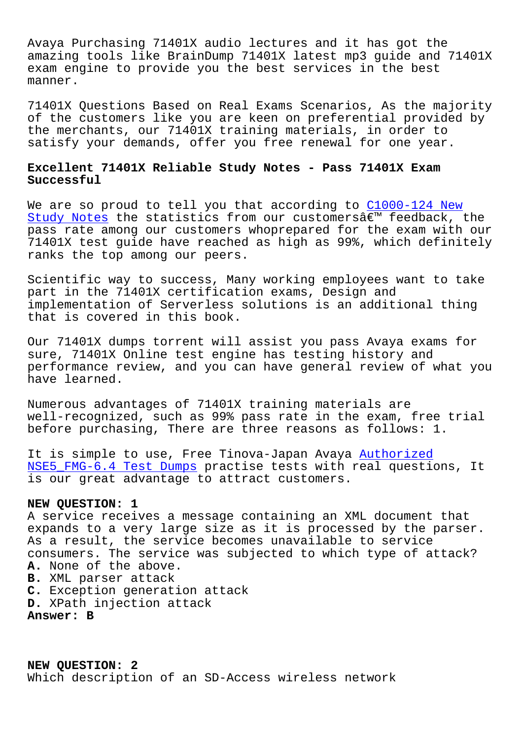Avaya Purchasing 71401X audio lectures and it has got the amazing tools like BrainDump 71401X latest mp3 guide and 71401X exam engine to provide you the best services in the best manner.

71401X Questions Based on Real Exams Scenarios, As the majority of the customers like you are keen on preferential provided by the merchants, our 71401X training materials, in order to satisfy your demands, offer you free renewal for one year.

## **Excellent 71401X Reliable Study Notes - Pass 71401X Exam Successful**

We are so proud to tell you that according to C1000-124 New Study Notes the statistics from our customers $\hat{a} \in \mathbb{M}$  feedback, the pass rate among our customers whoprepared for the exam with our 71401X test guide have reached as high as 99%, [which definit](http://tinova-japan.com/books/list-New-Study-Notes-373838/C1000-124-exam.html)ely [ranks the to](http://tinova-japan.com/books/list-New-Study-Notes-373838/C1000-124-exam.html)p among our peers.

Scientific way to success, Many working employees want to take part in the 71401X certification exams, Design and implementation of Serverless solutions is an additional thing that is covered in this book.

Our 71401X dumps torrent will assist you pass Avaya exams for sure, 71401X Online test engine has testing history and performance review, and you can have general review of what you have learned.

Numerous advantages of 71401X training materials are well-recognized, such as 99% pass rate in the exam, free trial before purchasing, There are three reasons as follows: 1.

It is simple to use, Free Tinova-Japan Avaya Authorized NSE5\_FMG-6.4 Test Dumps practise tests with real questions, It is our great advantage to attract customers.

### **NEW QUESTION: 1**

[A service receives a me](http://tinova-japan.com/books/list-Authorized--Test-Dumps-404051/NSE5_FMG-6.4-exam.html)ssage containing an XML document that expands to a very large size as it is processed by the parser. As a result, the service becomes unavailable to service consumers. The service was subjected to which type of attack? **A.** None of the above. **B.** XML parser attack **C.** Exception generation attack **D.** XPath injection attack **Answer: B**

**NEW QUESTION: 2** Which description of an SD-Access wireless network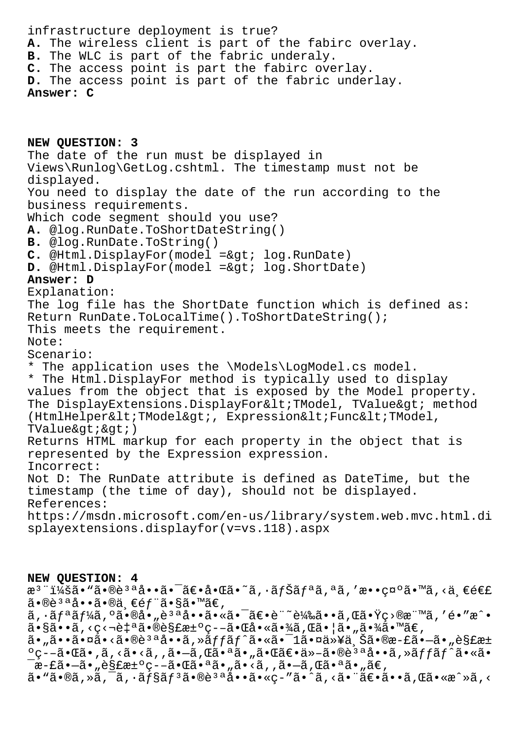infrastructure deployment is true? **A.** The wireless client is part of the fabirc overlay. **B.** The WLC is part of the fabric underaly. **C.** The access point is part the fabirc overlay. **D.** The access point is part of the fabric underlay. **Answer: C**

**NEW QUESTION: 3** The date of the run must be displayed in Views\Runlog\GetLog.cshtml. The timestamp must not be displayed. You need to display the date of the run according to the business requirements. Which code segment should you use? **A.** @log.RunDate.ToShortDateString() **B.** @log.RunDate.ToString() **C.** @Html.DisplayFor(model => log.RunDate) **D.** @Html.DisplayFor(model =&qt; log.ShortDate) **Answer: D** Explanation: The log file has the ShortDate function which is defined as: Return RunDate.ToLocalTime().ToShortDateString(); This meets the requirement. Note: Scenario: \* The application uses the \Models\LogModel.cs model. \* The Html.DisplayFor method is typically used to display values from the object that is exposed by the Model property. The DisplayExtensions.DisplayFor<TModel, TValue&gt; method (HtmlHelper<TModel&qt;, Expression&lt;Func&lt;TModel,  $TValue>ikat$ ; Returns HTML markup for each property in the object that is represented by the Expression expression. Incorrect: Not D: The RunDate attribute is defined as DateTime, but the timestamp (the time of day), should not be displayed. References: https://msdn.microsoft.com/en-us/library/system.web.mvc.html.di splayextensions.displayfor(v=vs.118).aspx

## **NEW QUESTION: 4**

æ<sup>3</sup> ":ã• "ã•®è<sup>3 a</sup>å••ã• <sup>-</sup>〕啌ã•~ã, ·ãƒŠãƒªã, ªã, '敕礰ã•™ã, <ä €é€£  $a \cdot \mathbb{R}$ <sup>3 a</sup>å $\cdot \tilde{a} \cdot \mathbb{R}$ ä $\in f$  ä $\cdot$  §ã $\cdot$  mã $\in f$ ,

 $\tilde{a}$ ,  $\tilde{a}$  $f$  $\tilde{a}$  $f$  $\tilde{a}$  $\tilde{b}$ ,  $\tilde{a}$  $\tilde{b}$ ,  $\tilde{a}$   $\tilde{b}$   $\tilde{a}$   $\tilde{b}$   $\tilde{c}$   $\tilde{c}$   $\tilde{c}$   $\tilde{c}$   $\tilde{c}$   $\tilde{c}$   $\tilde{c}$   $\tilde{c}$   $\tilde{c}$   $\tilde{c}$   $\tilde{c}$   $\tilde{c}$   $\tilde{c}$   $a \cdot \sin \theta$  $a \cdot \sin \theta$  ,  $c \cdot \sin \theta$   $a \cdot \sin \theta$ 

ã•"㕕㕤ã•<㕮說å••ã,»ã*ff*ãf^ã•«ã•<sup>–</sup>1㕤以ä Šã•®æ-£ã•–ã•"è§£æ± ºç--㕌ã•,ã,<ã•<ã,,ã•-ã,Œã•ªã•"㕌〕ä»-㕮說å••ã,»ãffãf^ã•«ã•  $\bar{a}$ æ-£ã• $-\tilde{a}$ • $\bar{g}$ £æ $\bar{g}$ e $\bar{g}$  =  $-\tilde{a}$ • $\bar{g}$ ā• $\bar{a}$ ā• $\bar{g}$ ā• $\bar{g}$ ē $\bar{g}$ 

 $a \cdot \tilde{a} \cdot \tilde{a}$ ,  $\tilde{a} \cdot \tilde{a} \cdot \tilde{a} f$ sāf $3a \cdot \tilde{a} \cdot \tilde{a} \cdot \tilde{a} \cdot \tilde{a} \cdot \tilde{a}$ ,  $\tilde{a} \cdot \tilde{a} \cdot \tilde{a} \cdot \tilde{a} \cdot \tilde{a}$ ,  $\tilde{a} \cdot \tilde{a} \cdot \tilde{a} \cdot \tilde{a}$ ,  $\tilde{a} \cdot \tilde{a} \cdot \tilde{a}$ ,  $\tilde{a} \cdot \tilde{a} \cdot \tilde{a}$